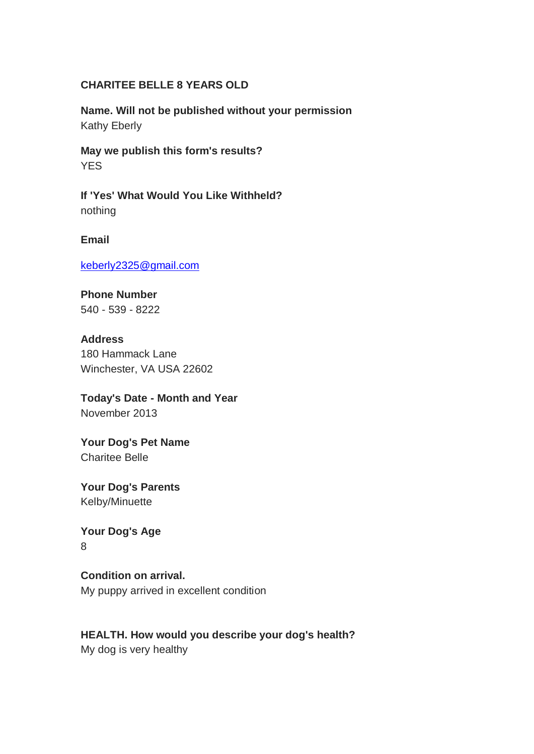### **CHARITEE BELLE 8 YEARS OLD**

**Name. Will not be published without your permission** Kathy Eberly

**May we publish this form's results? YES** 

**If 'Yes' What Would You Like Withheld?**  nothing

**Email**

[keberly2325@gmail.com](mailto:keberly2325@gmail.com)

**Phone Number** 540 - 539 - 8222

**Address** 180 Hammack Lane Winchester, VA USA 22602

**Today's Date - Month and Year** November 2013

**Your Dog's Pet Name**  Charitee Belle

**Your Dog's Parents**  Kelby/Minuette

**Your Dog's Age** 8

**Condition on arrival.**  My puppy arrived in excellent condition

**HEALTH. How would you describe your dog's health?** My dog is very healthy